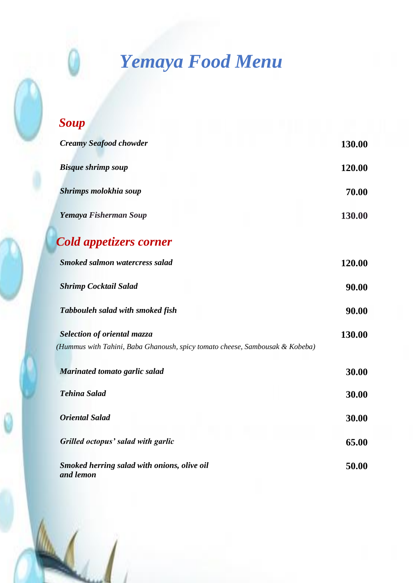# *Yemaya Food Menu*

| <b>Soup</b>                                                                  |        |
|------------------------------------------------------------------------------|--------|
| <b>Creamy Seafood chowder</b>                                                | 130.00 |
| <b>Bisque shrimp soup</b>                                                    | 120.00 |
| Shrimps molokhia soup                                                        | 70.00  |
| Yemaya Fisherman Soup                                                        | 130.00 |
| <b>Cold appetizers corner</b>                                                |        |
| <b>Smoked salmon watercress salad</b>                                        | 120.00 |
| <b>Shrimp Cocktail Salad</b>                                                 | 90.00  |
| Tabbouleh salad with smoked fish                                             | 90.00  |
| Selection of oriental mazza                                                  | 130.00 |
| (Hummus with Tahini, Baba Ghanoush, spicy tomato cheese, Sambousak & Kobeba) |        |
| Marinated tomato garlic salad                                                | 30.00  |
| <b>Tehina Salad</b>                                                          | 30.00  |
| <b>Oriental Salad</b>                                                        | 30.00  |
| Grilled octopus' salad with garlic                                           | 65.00  |
| Smoked herring salad with onions, olive oil<br>and lemon                     | 50.00  |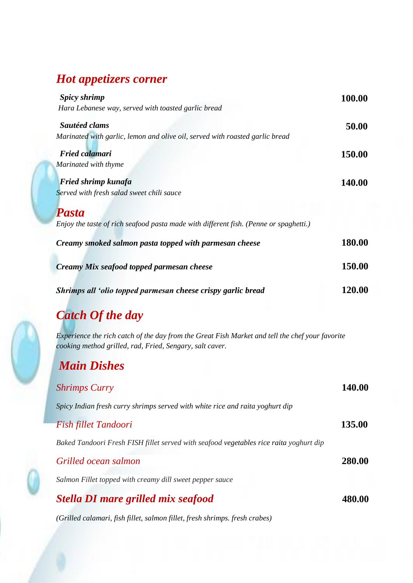#### *Hot appetizers corner*

| Spicy shrimp                                                                          | 100.00        |
|---------------------------------------------------------------------------------------|---------------|
| Hara Lebanese way, served with toasted garlic bread                                   |               |
| Sautéed clams                                                                         | 50.00         |
| Marinated with garlic, lemon and olive oil, served with roasted garlic bread          |               |
| <b>Fried calamari</b>                                                                 | 150.00        |
| Marinated with thyme                                                                  |               |
| <b>Fried shrimp kunafa</b>                                                            | <b>140.00</b> |
| Served with fresh salad sweet chili sauce                                             |               |
| <b>Pasta</b>                                                                          |               |
| Enjoy the taste of rich seafood pasta made with different fish. (Penne or spaghetti.) |               |
| Creamy smoked salmon pasta topped with parmesan cheese                                | 180.00        |
| Creamy Mix seafood topped parmesan cheese                                             | 150.00        |
| Shrimps all 'olio topped parmesan cheese crispy garlic bread                          | 120.00        |
| Catch Of the day                                                                      |               |

# *Catch Of the day*

*Experience the rich catch of the day from the Great Fish Market and tell the chef your favorite cooking method grilled, rad, Fried, Sengary, salt caver.*

#### *Main Dishes*

| <b>Shrimps Curry</b>                                                                   | 140.00 |
|----------------------------------------------------------------------------------------|--------|
| Spicy Indian fresh curry shrimps served with white rice and raita yoghurt dip          |        |
| <b>Fish fillet Tandoori</b>                                                            | 135.00 |
| Baked Tandoori Fresh FISH fillet served with seafood vegetables rice raita yoghurt dip |        |
| Grilled ocean salmon                                                                   | 280.00 |
| Salmon Fillet topped with creamy dill sweet pepper sauce                               |        |
| Stella DI mare grilled mix seafood                                                     | 480.00 |
|                                                                                        |        |

*(Grilled calamari, fish fillet, salmon fillet, fresh shrimps. fresh crabes)*